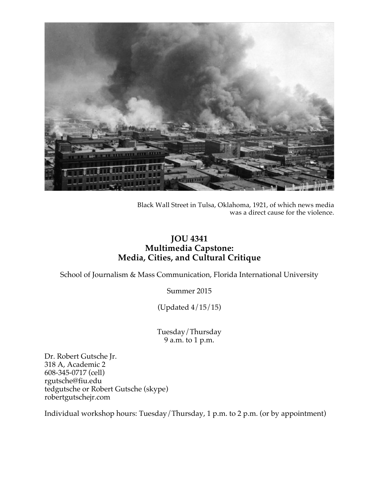

Black Wall Street in Tulsa, Oklahoma, 1921, of which news media was a direct cause for the violence.

# **JOU 4341 Multimedia Capstone: Media, Cities, and Cultural Critique**

School of Journalism & Mass Communication, Florida International University

Summer 2015

(Updated 4/15/15)

Tuesday/Thursday 9 a.m. to 1 p.m.

Dr. Robert Gutsche Jr. 318 A, Academic 2 608-345-0717 (cell) rgutsche@fiu.edu tedgutsche or Robert Gutsche (skype) robertgutschejr.com

Individual workshop hours: Tuesday/Thursday, 1 p.m. to 2 p.m. (or by appointment)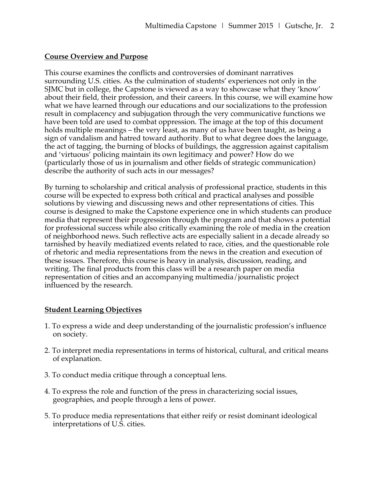### **Course Overview and Purpose**

This course examines the conflicts and controversies of dominant narratives surrounding U.S. cities. As the culmination of students' experiences not only in the SJMC but in college, the Capstone is viewed as a way to showcase what they 'know' about their field, their profession, and their careers. In this course, we will examine how what we have learned through our educations and our socializations to the profession result in complacency and subjugation through the very communicative functions we have been told are used to combat oppression. The image at the top of this document holds multiple meanings – the very least, as many of us have been taught, as being a sign of vandalism and hatred toward authority. But to what degree does the language, the act of tagging, the burning of blocks of buildings, the aggression against capitalism and 'virtuous' policing maintain its own legitimacy and power? How do we (particularly those of us in journalism and other fields of strategic communication) describe the authority of such acts in our messages?

By turning to scholarship and critical analysis of professional practice, students in this course will be expected to express both critical and practical analyses and possible solutions by viewing and discussing news and other representations of cities. This course is designed to make the Capstone experience one in which students can produce media that represent their progression through the program and that shows a potential for professional success while also critically examining the role of media in the creation of neighborhood news. Such reflective acts are especially salient in a decade already so tarnished by heavily mediatized events related to race, cities, and the questionable role of rhetoric and media representations from the news in the creation and execution of these issues. Therefore, this course is heavy in analysis, discussion, reading, and writing. The final products from this class will be a research paper on media representation of cities and an accompanying multimedia/journalistic project influenced by the research.

### **Student Learning Objectives**

- 1. To express a wide and deep understanding of the journalistic profession's influence on society.
- 2. To interpret media representations in terms of historical, cultural, and critical means of explanation.
- 3. To conduct media critique through a conceptual lens.
- 4. To express the role and function of the press in characterizing social issues, geographies, and people through a lens of power.
- 5. To produce media representations that either reify or resist dominant ideological interpretations of U.S. cities.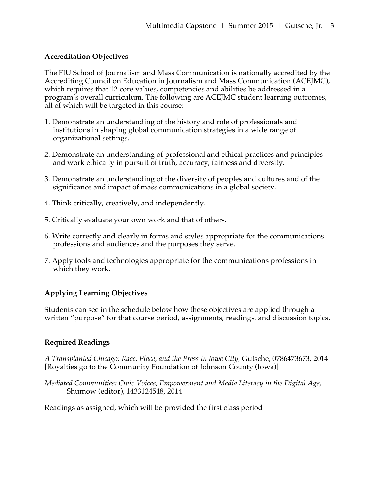### **Accreditation Objectives**

The FIU School of Journalism and Mass Communication is nationally accredited by the Accrediting Council on Education in Journalism and Mass Communication (ACEJMC), which requires that 12 core values, competencies and abilities be addressed in a program's overall curriculum. The following are ACEJMC student learning outcomes, all of which will be targeted in this course:

- 1. Demonstrate an understanding of the history and role of professionals and institutions in shaping global communication strategies in a wide range of organizational settings.
- 2. Demonstrate an understanding of professional and ethical practices and principles and work ethically in pursuit of truth, accuracy, fairness and diversity.
- 3. Demonstrate an understanding of the diversity of peoples and cultures and of the significance and impact of mass communications in a global society.
- 4. Think critically, creatively, and independently.
- 5. Critically evaluate your own work and that of others.
- 6. Write correctly and clearly in forms and styles appropriate for the communications professions and audiences and the purposes they serve.
- 7. Apply tools and technologies appropriate for the communications professions in which they work.

### **Applying Learning Objectives**

Students can see in the schedule below how these objectives are applied through a written "purpose" for that course period, assignments, readings, and discussion topics.

#### **Required Readings**

*A Transplanted Chicago: Race, Place, and the Press in Iowa City*, Gutsche, 0786473673, 2014 [Royalties go to the Community Foundation of Johnson County (Iowa)]

*Mediated Communities: Civic Voices, Empowerment and Media Literacy in the Digital Age,*  Shumow (editor), 1433124548, 2014

Readings as assigned, which will be provided the first class period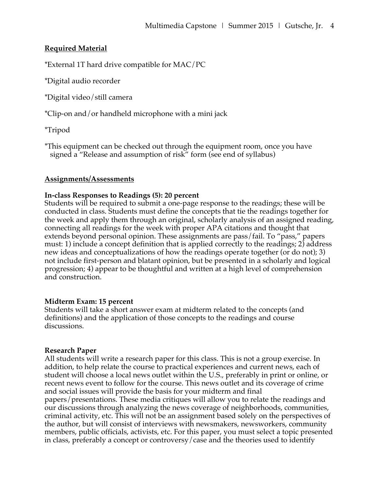## **Required Material**

\*External 1T hard drive compatible for MAC/PC

\*Digital audio recorder

\*Digital video/still camera

\*Clip-on and/or handheld microphone with a mini jack

\*Tripod

\*This equipment can be checked out through the equipment room, once you have signed a "Release and assumption of risk" form (see end of syllabus)

#### **Assignments/Assessments**

### **In-class Responses to Readings (5): 20 percent**

Students will be required to submit a one-page response to the readings; these will be conducted in class. Students must define the concepts that tie the readings together for the week and apply them through an original, scholarly analysis of an assigned reading, connecting all readings for the week with proper APA citations and thought that extends beyond personal opinion. These assignments are pass/fail. To "pass," papers must: 1) include a concept definition that is applied correctly to the readings; 2) address new ideas and conceptualizations of how the readings operate together (or do not); 3) not include first-person and blatant opinion, but be presented in a scholarly and logical progression; 4) appear to be thoughtful and written at a high level of comprehension and construction.

#### **Midterm Exam: 15 percent**

Students will take a short answer exam at midterm related to the concepts (and definitions) and the application of those concepts to the readings and course discussions.

#### **Research Paper**

All students will write a research paper for this class. This is not a group exercise. In addition, to help relate the course to practical experiences and current news, each of student will choose a local news outlet within the U.S., preferably in print or online, or recent news event to follow for the course. This news outlet and its coverage of crime and social issues will provide the basis for your midterm and final papers/presentations. These media critiques will allow you to relate the readings and our discussions through analyzing the news coverage of neighborhoods, communities, criminal activity, etc. This will not be an assignment based solely on the perspectives of the author, but will consist of interviews with newsmakers, newsworkers, community members, public officials, activists, etc. For this paper, you must select a topic presented in class, preferably a concept or controversy/case and the theories used to identify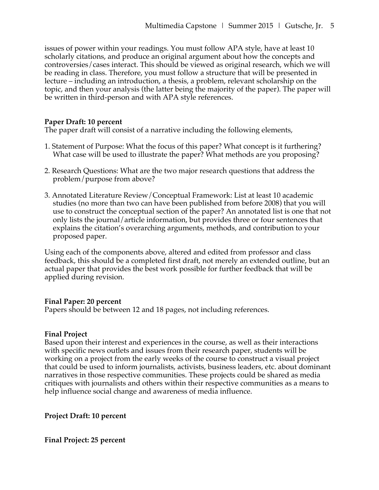issues of power within your readings. You must follow APA style, have at least 10 scholarly citations, and produce an original argument about how the concepts and controversies/cases interact. This should be viewed as original research, which we will be reading in class. Therefore, you must follow a structure that will be presented in lecture – including an introduction, a thesis, a problem, relevant scholarship on the topic, and then your analysis (the latter being the majority of the paper). The paper will be written in third-person and with APA style references.

### **Paper Draft: 10 percent**

The paper draft will consist of a narrative including the following elements,

- 1. Statement of Purpose: What the focus of this paper? What concept is it furthering? What case will be used to illustrate the paper? What methods are you proposing?
- 2. Research Questions: What are the two major research questions that address the problem/purpose from above?
- 3. Annotated Literature Review/Conceptual Framework: List at least 10 academic studies (no more than two can have been published from before 2008) that you will use to construct the conceptual section of the paper? An annotated list is one that not only lists the journal/article information, but provides three or four sentences that explains the citation's overarching arguments, methods, and contribution to your proposed paper.

Using each of the components above, altered and edited from professor and class feedback, this should be a completed first draft, not merely an extended outline, but an actual paper that provides the best work possible for further feedback that will be applied during revision.

#### **Final Paper: 20 percent**

Papers should be between 12 and 18 pages, not including references.

### **Final Project**

Based upon their interest and experiences in the course, as well as their interactions with specific news outlets and issues from their research paper, students will be working on a project from the early weeks of the course to construct a visual project that could be used to inform journalists, activists, business leaders, etc. about dominant narratives in those respective communities. These projects could be shared as media critiques with journalists and others within their respective communities as a means to help influence social change and awareness of media influence.

**Project Draft: 10 percent**

**Final Project: 25 percent**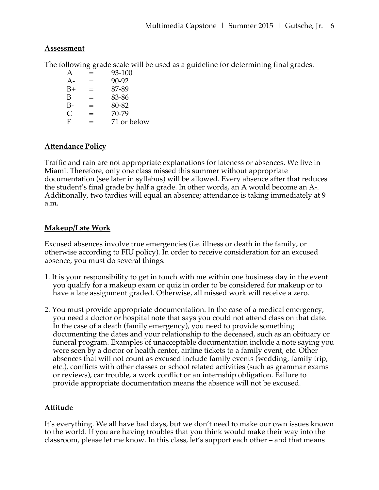### **Assessment**

The following grade scale will be used as a guideline for determining final grades:

| A    | ═   | 93-100      |
|------|-----|-------------|
| $A-$ | $=$ | 90-92       |
| $B+$ | $=$ | 87-89       |
| B    | ═   | 83-86       |
| B-   | $=$ | 80-82       |
| C    | $=$ | 70-79       |
| F    | —   | 71 or below |

## **Attendance Policy**

Traffic and rain are not appropriate explanations for lateness or absences. We live in Miami. Therefore, only one class missed this summer without appropriate documentation (see later in syllabus) will be allowed. Every absence after that reduces the student's final grade by half a grade. In other words, an A would become an A-. Additionally, two tardies will equal an absence; attendance is taking immediately at 9 a.m.

# **Makeup/Late Work**

Excused absences involve true emergencies (i.e. illness or death in the family, or otherwise according to FIU policy). In order to receive consideration for an excused absence, you must do several things:

- 1. It is your responsibility to get in touch with me within one business day in the event you qualify for a makeup exam or quiz in order to be considered for makeup or to have a late assignment graded. Otherwise, all missed work will receive a zero.
- 2. You must provide appropriate documentation. In the case of a medical emergency, you need a doctor or hospital note that says you could not attend class on that date. In the case of a death (family emergency), you need to provide something documenting the dates and your relationship to the deceased, such as an obituary or funeral program. Examples of unacceptable documentation include a note saying you were seen by a doctor or health center, airline tickets to a family event, etc. Other absences that will not count as excused include family events (wedding, family trip, etc.), conflicts with other classes or school related activities (such as grammar exams or reviews), car trouble, a work conflict or an internship obligation. Failure to provide appropriate documentation means the absence will not be excused.

# **Attitude**

It's everything. We all have bad days, but we don't need to make our own issues known to the world. If you are having troubles that you think would make their way into the classroom, please let me know. In this class, let's support each other – and that means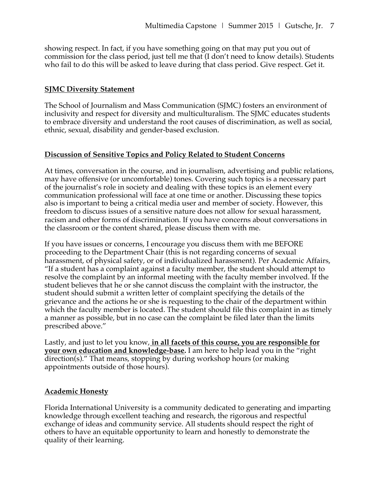showing respect. In fact, if you have something going on that may put you out of commission for the class period, just tell me that (I don't need to know details). Students who fail to do this will be asked to leave during that class period. Give respect. Get it.

### **SJMC Diversity Statement**

The School of Journalism and Mass Communication (SJMC) fosters an environment of inclusivity and respect for diversity and multiculturalism. The SJMC educates students to embrace diversity and understand the root causes of discrimination, as well as social, ethnic, sexual, disability and gender-based exclusion.

### **Discussion of Sensitive Topics and Policy Related to Student Concerns**

At times, conversation in the course, and in journalism, advertising and public relations, may have offensive (or uncomfortable) tones. Covering such topics is a necessary part of the journalist's role in society and dealing with these topics is an element every communication professional will face at one time or another. Discussing these topics also is important to being a critical media user and member of society. However, this freedom to discuss issues of a sensitive nature does not allow for sexual harassment, racism and other forms of discrimination. If you have concerns about conversations in the classroom or the content shared, please discuss them with me.

If you have issues or concerns, I encourage you discuss them with me BEFORE proceeding to the Department Chair (this is not regarding concerns of sexual harassment, of physical safety, or of individualized harassment). Per Academic Affairs, "If a student has a complaint against a faculty member, the student should attempt to resolve the complaint by an informal meeting with the faculty member involved. If the student believes that he or she cannot discuss the complaint with the instructor, the student should submit a written letter of complaint specifying the details of the grievance and the actions he or she is requesting to the chair of the department within which the faculty member is located. The student should file this complaint in as timely a manner as possible, but in no case can the complaint be filed later than the limits prescribed above."

Lastly, and just to let you know, **in all facets of this course, you are responsible for your own education and knowledge-base.** I am here to help lead you in the "right direction(s)." That means, stopping by during workshop hours (or making appointments outside of those hours).

### **Academic Honesty**

Florida International University is a community dedicated to generating and imparting knowledge through excellent teaching and research, the rigorous and respectful exchange of ideas and community service. All students should respect the right of others to have an equitable opportunity to learn and honestly to demonstrate the quality of their learning.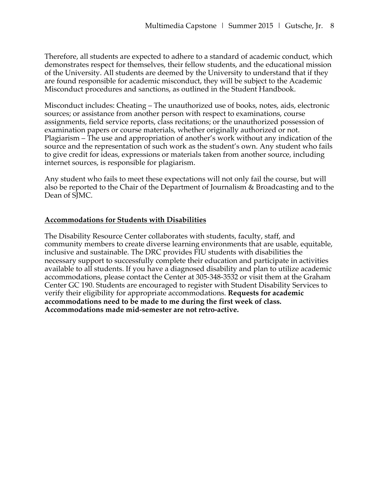Therefore, all students are expected to adhere to a standard of academic conduct, which demonstrates respect for themselves, their fellow students, and the educational mission of the University. All students are deemed by the University to understand that if they are found responsible for academic misconduct, they will be subject to the Academic Misconduct procedures and sanctions, as outlined in the Student Handbook.

Misconduct includes: Cheating – The unauthorized use of books, notes, aids, electronic sources; or assistance from another person with respect to examinations, course assignments, field service reports, class recitations; or the unauthorized possession of examination papers or course materials, whether originally authorized or not. Plagiarism – The use and appropriation of another's work without any indication of the source and the representation of such work as the student's own. Any student who fails to give credit for ideas, expressions or materials taken from another source, including internet sources, is responsible for plagiarism.

Any student who fails to meet these expectations will not only fail the course, but will also be reported to the Chair of the Department of Journalism & Broadcasting and to the Dean of SJMC.

### **Accommodations for Students with Disabilities**

The Disability Resource Center collaborates with students, faculty, staff, and community members to create diverse learning environments that are usable, equitable, inclusive and sustainable. The DRC provides FIU students with disabilities the necessary support to successfully complete their education and participate in activities available to all students. If you have a diagnosed disability and plan to utilize academic accommodations, please contact the Center at 305-348-3532 or visit them at the Graham Center GC 190. Students are encouraged to register with Student Disability Services to verify their eligibility for appropriate accommodations. **Requests for academic accommodations need to be made to me during the first week of class. Accommodations made mid-semester are not retro-active.**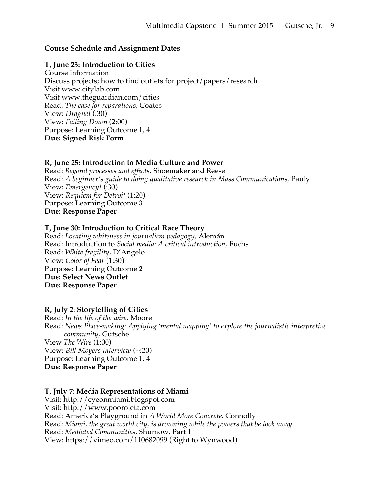### **Course Schedule and Assignment Dates**

#### **T, June 23: Introduction to Cities**

Course information Discuss projects; how to find outlets for project/papers/research Visit www.citylab.com Visit www.theguardian.com/cities Read: *The case for reparations,* Coates View: *Dragnet* (:30) View: *Falling Down* (2:00) Purpose: Learning Outcome 1, 4 **Due: Signed Risk Form**

#### **R, June 25: Introduction to Media Culture and Power**

Read: *Beyond processes and effects,* Shoemaker and Reese Read: *A beginner's guide to doing qualitative research in Mass Communications, Pauly* View: *Emergency!* (:30) View: *Requiem for Detroit* (1:20) Purpose: Learning Outcome 3 **Due: Response Paper**

#### **T, June 30: Introduction to Critical Race Theory**

Read: *Locating whiteness in journalism pedagogy,* Alemán Read: Introduction to *Social media: A critical introduction,* Fuchs Read: *White fragility,* D'Angelo View: *Color of Fear* (1:30) Purpose: Learning Outcome 2 **Due: Select News Outlet Due: Response Paper**

### **R, July 2: Storytelling of Cities**

Read: *In the life of the wire,* Moore Read: *News Place-making: Applying 'mental mapping' to explore the journalistic interpretive community*, Gutsche View *The Wire* (1:00) View: *Bill Moyers interview* (~:20) Purpose: Learning Outcome 1, 4 **Due: Response Paper**

#### **T, July 7: Media Representations of Miami**

Visit: http://eyeonmiami.blogspot.com Visit: http://www.pooroleta.com Read: America's Playground in *A World More Concrete*, Connolly Read: *Miami, the great world city, is drowning while the powers that be look away.* Read: *Mediated Communities,* Shumow, Part 1 View: https://vimeo.com/110682099 (Right to Wynwood)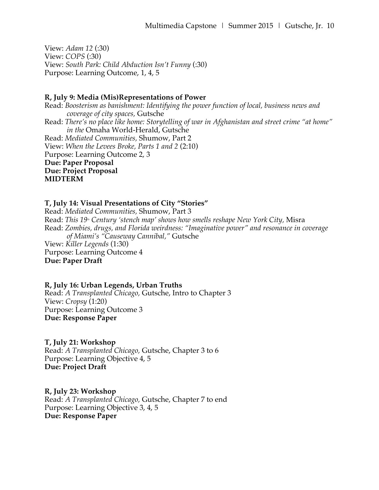View: *Adam 12* (:30) View: *COPS* (:30) View: *South Park: Child Abduction Isn't Funny* (:30) Purpose: Learning Outcome, 1, 4, 5

#### **R, July 9: Media (Mis)Representations of Power**

Read: *Boosterism as banishment: Identifying the power function of local, business news and coverage of city spaces,* Gutsche Read: *There's no place like home: Storytelling of war in Afghanistan and street crime "at home" in the* Omaha World-Herald, Gutsche Read: *Mediated Communities,* Shumow, Part 2 View: *When the Levees Broke, Parts 1 and 2* (2:10) Purpose: Learning Outcome 2, 3 **Due: Paper Proposal Due: Project Proposal MIDTERM**

### **T, July 14: Visual Presentations of City "Stories"**

Read: *Mediated Communities,* Shumow, Part 3 Read: *This 19<sup>th</sup> Century 'stench map' shows how smells reshape New York City, Misra* Read: *Zombies, drugs, and Florida weirdness: "Imaginative power" and resonance in coverage of Miami's "Causeway Cannibal,"* Gutsche View: *Killer Legends* (1:30) Purpose: Learning Outcome 4 **Due: Paper Draft**

### **R, July 16: Urban Legends, Urban Truths**

Read: *A Transplanted Chicago,* Gutsche, Intro to Chapter 3 View: *Cropsy* (1:20) Purpose: Learning Outcome 3 **Due: Response Paper**

### **T, July 21: Workshop**

Read: *A Transplanted Chicago,* Gutsche, Chapter 3 to 6 Purpose: Learning Objective 4, 5 **Due: Project Draft**

**R, July 23: Workshop** Read: *A Transplanted Chicago,* Gutsche, Chapter 7 to end Purpose: Learning Objective 3, 4, 5 **Due: Response Paper**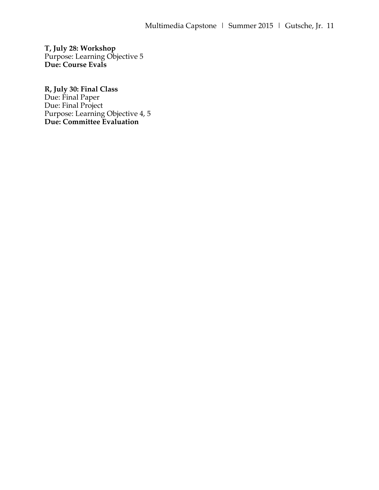**T, July 28: Workshop** Purpose: Learning Objective 5 **Due: Course Evals**

**R, July 30: Final Class** Due: Final Paper Due: Final Project Purpose: Learning Objective 4, 5 **Due: Committee Evaluation**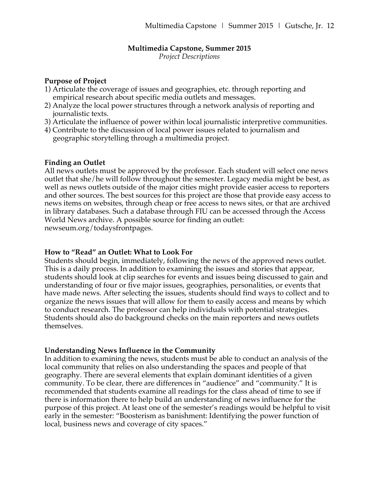#### **Multimedia Capstone, Summer 2015**

*Project Descriptions*

#### **Purpose of Project**

- 1) Articulate the coverage of issues and geographies, etc. through reporting and empirical research about specific media outlets and messages.
- 2) Analyze the local power structures through a network analysis of reporting and journalistic texts.
- 3) Articulate the influence of power within local journalistic interpretive communities.
- 4) Contribute to the discussion of local power issues related to journalism and geographic storytelling through a multimedia project.

### **Finding an Outlet**

All news outlets must be approved by the professor. Each student will select one news outlet that she/he will follow throughout the semester. Legacy media might be best, as well as news outlets outside of the major cities might provide easier access to reporters and other sources. The best sources for this project are those that provide easy access to news items on websites, through cheap or free access to news sites, or that are archived in library databases. Such a database through FIU can be accessed through the Access World News archive. A possible source for finding an outlet: newseum.org/todaysfrontpages.

### **How to "Read" an Outlet: What to Look For**

Students should begin, immediately, following the news of the approved news outlet. This is a daily process. In addition to examining the issues and stories that appear, students should look at clip searches for events and issues being discussed to gain and understanding of four or five major issues, geographies, personalities, or events that have made news. After selecting the issues, students should find ways to collect and to organize the news issues that will allow for them to easily access and means by which to conduct research. The professor can help individuals with potential strategies. Students should also do background checks on the main reporters and news outlets themselves.

### **Understanding News Influence in the Community**

In addition to examining the news, students must be able to conduct an analysis of the local community that relies on also understanding the spaces and people of that geography. There are several elements that explain dominant identities of a given community. To be clear, there are differences in "audience" and "community." It is recommended that students examine all readings for the class ahead of time to see if there is information there to help build an understanding of news influence for the purpose of this project. At least one of the semester's readings would be helpful to visit early in the semester: "Boosterism as banishment: Identifying the power function of local, business news and coverage of city spaces."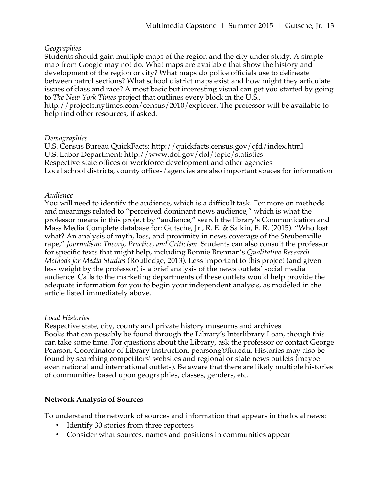#### *Geographies*

Students should gain multiple maps of the region and the city under study. A simple map from Google may not do. What maps are available that show the history and development of the region or city? What maps do police officials use to delineate between patrol sections? What school district maps exist and how might they articulate issues of class and race? A most basic but interesting visual can get you started by going to *The New York Times* project that outlines every block in the U.S., http://projects.nytimes.com/census/2010/explorer. The professor will be available to

help find other resources, if asked.

#### *Demographics*

U.S. Census Bureau QuickFacts: http://quickfacts.census.gov/qfd/index.html U.S. Labor Department: http://www.dol.gov/dol/topic/statistics Respective state offices of workforce development and other agencies Local school districts, county offices/agencies are also important spaces for information

### *Audience*

You will need to identify the audience, which is a difficult task. For more on methods and meanings related to "perceived dominant news audience," which is what the professor means in this project by "audience," search the library's Communication and Mass Media Complete database for: Gutsche, Jr., R. E. & Salkin, E. R. (2015). "Who lost what? An analysis of myth, loss, and proximity in news coverage of the Steubenville rape," *Journalism: Theory, Practice, and Criticism.* Students can also consult the professor for specific texts that might help, including Bonnie Brennan's *Qualitative Research Methods for Media Studies* (Routledge, 2013). Less important to this project (and given less weight by the professor) is a brief analysis of the news outlets' social media audience. Calls to the marketing departments of these outlets would help provide the adequate information for you to begin your independent analysis, as modeled in the article listed immediately above.

### *Local Histories*

Respective state, city, county and private history museums and archives Books that can possibly be found through the Library's Interlibrary Loan, though this can take some time. For questions about the Library, ask the professor or contact George Pearson, Coordinator of Library Instruction, pearsong@fiu.edu. Histories may also be found by searching competitors' websites and regional or state news outlets (maybe even national and international outlets). Be aware that there are likely multiple histories of communities based upon geographies, classes, genders, etc.

### **Network Analysis of Sources**

To understand the network of sources and information that appears in the local news:

- Identify 30 stories from three reporters
- Consider what sources, names and positions in communities appear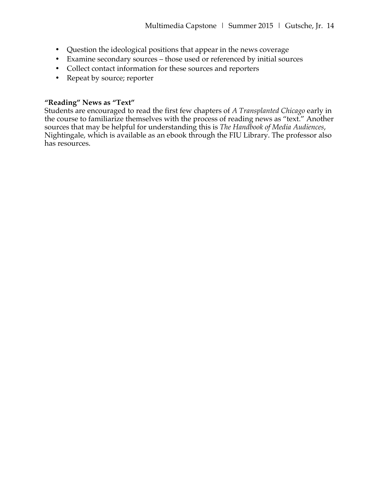- Question the ideological positions that appear in the news coverage
- Examine secondary sources those used or referenced by initial sources
- Collect contact information for these sources and reporters
- Repeat by source; reporter

## **"Reading" News as "Text"**

Students are encouraged to read the first few chapters of *A Transplanted Chicago* early in the course to familiarize themselves with the process of reading news as "text." Another sources that may be helpful for understanding this is *The Handbook of Media Audiences*, Nightingale, which is available as an ebook through the FIU Library. The professor also has resources.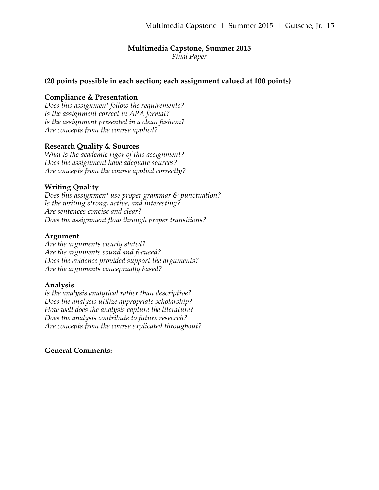# **Multimedia Capstone, Summer 2015**

*Final Paper*

#### **(20 points possible in each section; each assignment valued at 100 points)**

### **Compliance & Presentation**

*Does this assignment follow the requirements? Is the assignment correct in APA format? Is the assignment presented in a clean fashion? Are concepts from the course applied?*

### **Research Quality & Sources**

*What is the academic rigor of this assignment? Does the assignment have adequate sources? Are concepts from the course applied correctly?*

### **Writing Quality**

*Does this assignment use proper grammar & punctuation? Is the writing strong, active, and interesting? Are sentences concise and clear? Does the assignment flow through proper transitions?*

#### **Argument**

*Are the arguments clearly stated? Are the arguments sound and focused? Does the evidence provided support the arguments? Are the arguments conceptually based?*

#### **Analysis**

*Is the analysis analytical rather than descriptive? Does the analysis utilize appropriate scholarship? How well does the analysis capture the literature? Does the analysis contribute to future research? Are concepts from the course explicated throughout?*

#### **General Comments:**